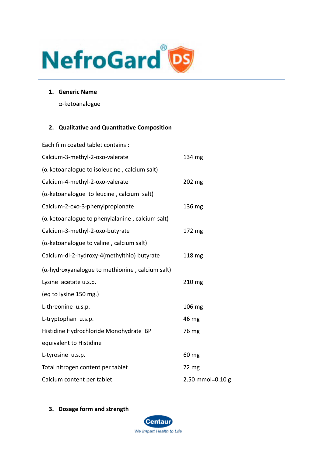

**1. Generic Name**

α-ketoanalogue

#### **2. Qualitative and Quantitative Composition**

| Each film coated tablet contains :                      |                  |
|---------------------------------------------------------|------------------|
| Calcium-3-methyl-2-oxo-valerate                         | 134 mg           |
| $(\alpha$ -ketoanalogue to isoleucine, calcium salt)    |                  |
| Calcium-4-methyl-2-oxo-valerate                         | 202 mg           |
| $(\alpha$ -ketoanalogue to leucine, calcium salt)       |                  |
| Calcium-2-oxo-3-phenylpropionate                        | 136 mg           |
| $(\alpha$ -ketoanalogue to phenylalanine, calcium salt) |                  |
| Calcium-3-methyl-2-oxo-butyrate                         | 172 mg           |
| $(\alpha$ -ketoanalogue to valine, calcium salt)        |                  |
| Calcium-dl-2-hydroxy-4(methylthio) butyrate             | 118 mg           |
| (a-hydroxyanalogue to methionine, calcium salt)         |                  |
| Lysine acetate u.s.p.                                   | 210 mg           |
| (eq to lysine 150 mg.)                                  |                  |
| L-threonine u.s.p.                                      | 106 mg           |
| L-tryptophan u.s.p.                                     | 46 mg            |
| Histidine Hydrochloride Monohydrate BP                  | 76 mg            |
| equivalent to Histidine                                 |                  |
| L-tyrosine u.s.p.                                       | 60 mg            |
| Total nitrogen content per tablet                       | 72 mg            |
| Calcium content per tablet                              | 2.50 mmol=0.10 g |

**3. Dosage form and strength**

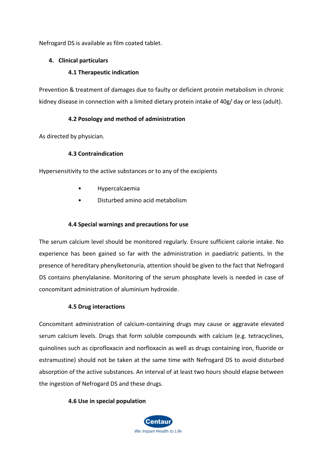Nefrogard DS is available as film coated tablet.

### **4. Clinical particulars**

### **4.1 Therapeutic indication**

Prevention & treatment of damages due to faulty or deficient protein metabolism in chronic kidney disease in connection with a limited dietary protein intake of 40g/ day or less (adult).

### **4.2 Posology and method of administration**

As directed by physician.

### **4.3 Contraindication**

Hypersensitivity to the active substances or to any of the excipients

- Hypercalcaemia
- Disturbed amino acid metabolism

### **4.4 Special warnings and precautions for use**

The serum calcium level should be monitored regularly. Ensure sufficient calorie intake. No experience has been gained so far with the administration in paediatric patients. In the presence of hereditary phenylketonuria, attention should be given to the fact that Nefrogard DS contains phenylalanine. Monitoring of the serum phosphate levels is needed in case of concomitant administration of aluminium hydroxide.

### **4.5 Drug interactions**

Concomitant administration of calcium-containing drugs may cause or aggravate elevated serum calcium levels. Drugs that form soluble compounds with calcium (e.g. tetracyclines, quinolines such as ciprofloxacin and norfloxacin as well as drugs containing iron, fluoride or estramustine) should not be taken at the same time with Nefrogard DS to avoid disturbed absorption of the active substances. An interval of at least two hours should elapse between the ingestion of Nefrogard DS and these drugs.

### **4.6 Use in special population**

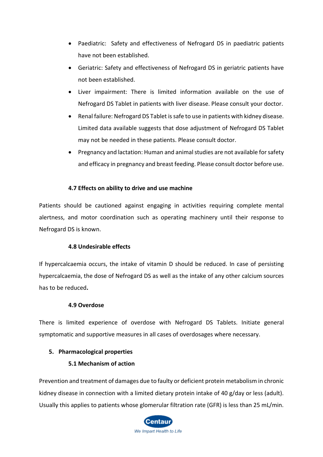- Paediatric: Safety and effectiveness of Nefrogard DS in paediatric patients have not been established.
- Geriatric: Safety and effectiveness of Nefrogard DS in geriatric patients have not been established.
- Liver impairment: There is limited information available on the use of Nefrogard DS Tablet in patients with liver disease. Please consult your doctor.
- Renal failure: Nefrogard DS Tablet is safe to use in patients with kidney disease. Limited data available suggests that dose adjustment of Nefrogard DS Tablet may not be needed in these patients. Please consult doctor.
- Pregnancy and lactation: Human and animal studies are not available for safety and efficacy in pregnancy and breast feeding. Please consult doctor before use.

### **4.7 Effects on ability to drive and use machine**

Patients should be cautioned against engaging in activities requiring complete mental alertness, and motor coordination such as operating machinery until their response to Nefrogard DS is known.

### **4.8 Undesirable effects**

If hypercalcaemia occurs, the intake of vitamin D should be reduced. In case of persisting hypercalcaemia, the dose of Nefrogard DS as well as the intake of any other calcium sources has to be reduced**.**

### **4.9 Overdose**

There is limited experience of overdose with Nefrogard DS Tablets. Initiate general symptomatic and supportive measures in all cases of overdosages where necessary.

### **5. Pharmacological properties**

### **5.1 Mechanism of action**

Prevention and treatment of damages due to faulty or deficient protein metabolism in chronic kidney disease in connection with a limited dietary protein intake of 40 g/day or less (adult). Usually this applies to patients whose glomerular filtration rate (GFR) is less than 25 mL/min.

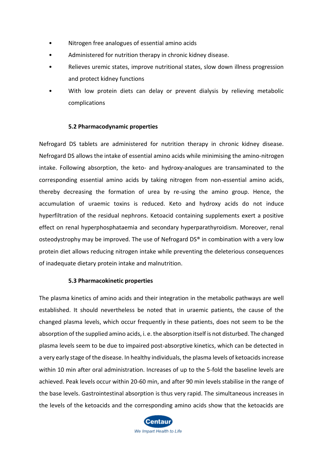- Nitrogen free analogues of essential amino acids
- Administered for nutrition therapy in chronic kidney disease.
- Relieves uremic states, improve nutritional states, slow down illness progression and protect kidney functions
- With low protein diets can delay or prevent dialysis by relieving metabolic complications

#### **5.2 Pharmacodynamic properties**

Nefrogard DS tablets are administered for nutrition therapy in chronic kidney disease. Nefrogard DS allows the intake of essential amino acids while minimising the amino-nitrogen intake. Following absorption, the keto- and hydroxy-analogues are transaminated to the corresponding essential amino acids by taking nitrogen from non-essential amino acids, thereby decreasing the formation of urea by re-using the amino group. Hence, the accumulation of uraemic toxins is reduced. Keto and hydroxy acids do not induce hyperfiltration of the residual nephrons. Ketoacid containing supplements exert a positive effect on renal hyperphosphataemia and secondary hyperparathyroidism. Moreover, renal osteodystrophy may be improved. The use of Nefrogard DS® in combination with a very low protein diet allows reducing nitrogen intake while preventing the deleterious consequences of inadequate dietary protein intake and malnutrition.

#### **5.3 Pharmacokinetic properties**

The plasma kinetics of amino acids and their integration in the metabolic pathways are well established. It should nevertheless be noted that in uraemic patients, the cause of the changed plasma levels, which occur frequently in these patients, does not seem to be the absorption of the supplied amino acids, i. e. the absorption itself is not disturbed. The changed plasma levels seem to be due to impaired post-absorptive kinetics, which can be detected in a very early stage of the disease. In healthy individuals, the plasma levels of ketoacids increase within 10 min after oral administration. Increases of up to the 5-fold the baseline levels are achieved. Peak levels occur within 20-60 min, and after 90 min levels stabilise in the range of the base levels. Gastrointestinal absorption is thus very rapid. The simultaneous increases in the levels of the ketoacids and the corresponding amino acids show that the ketoacids are

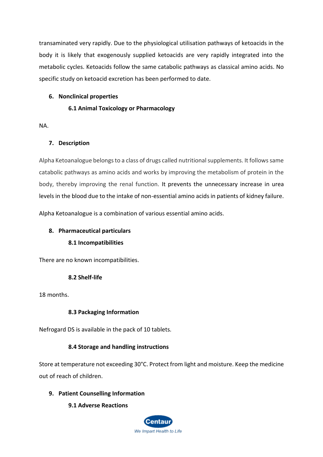transaminated very rapidly. Due to the physiological utilisation pathways of ketoacids in the body it is likely that exogenously supplied ketoacids are very rapidly integrated into the metabolic cycles. Ketoacids follow the same catabolic pathways as classical amino acids. No specific study on ketoacid excretion has been performed to date.

### **6. Nonclinical properties**

### **6.1 Animal Toxicology or Pharmacology**

NA.

# **7. Description**

Alpha Ketoanalogue belongs to a class of drugs called nutritional supplements. It follows same catabolic pathways as amino acids and works by improving the metabolism of protein in the body, thereby improving the renal function. It prevents the unnecessary increase in urea levels in the blood due to the intake of non-essential amino acids in patients of kidney failure.

Alpha Ketoanalogue is a combination of various essential amino acids.

# **8. Pharmaceutical particulars**

# **8.1 Incompatibilities**

There are no known incompatibilities.

# **8.2 Shelf-life**

18 months.

# **8.3 Packaging Information**

Nefrogard DS is available in the pack of 10 tablets.

# **8.4 Storage and handling instructions**

Store at temperature not exceeding 30°C. Protect from light and moisture. Keep the medicine out of reach of children.

# **9. Patient Counselling Information**

# **9.1 Adverse Reactions**